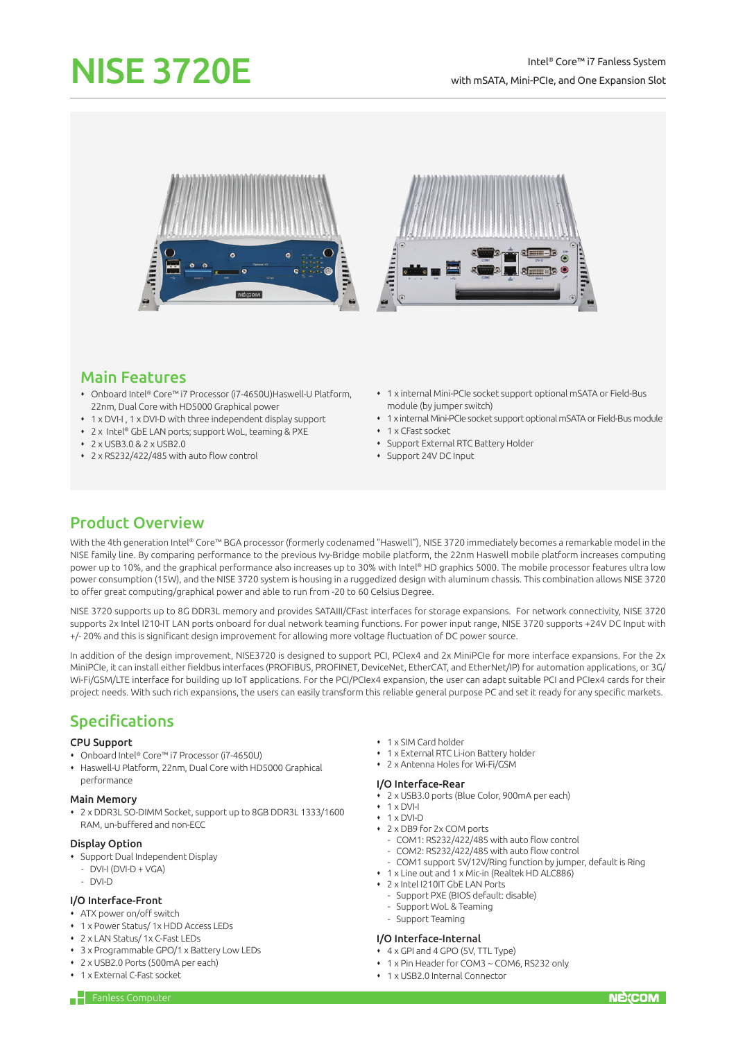# NISE 3720E

## Intel® Core™ i7 Fanless System with mSATA, Mini-PCIe, and One Expansion Slot





# Main Features

- Onboard Intel® Core™ i7 Processor (i7-4650U)Haswell-U Platform, 22nm, Dual Core with HD5000 Graphical power
- 1 x DVI-I , 1 x DVI-D with three independent display support
- 2 x Intel® GbE LAN ports; support WoL, teaming & PXE
- 2 x USB3.0 & 2 x USB2.0
- 2 x RS232/422/485 with auto flow control
- 1 x internal Mini-PCIe socket support optional mSATA or Field-Bus module (by jumper switch)
- 1 x internal Mini-PCIe socket support optional mSATA or Field-Bus module
- 1 x CFast socket
- Support External RTC Battery Holder
- Support 24V DC Input

# Product Overview

With the 4th generation Intel® Core™ BGA processor (formerly codenamed "Haswell"), NISE 3720 immediately becomes a remarkable model in the NISE family line. By comparing performance to the previous Ivy-Bridge mobile platform, the 22nm Haswell mobile platform increases computing power up to 10%, and the graphical performance also increases up to 30% with Intel® HD graphics 5000. The mobile processor features ultra low power consumption (15W), and the NISE 3720 system is housing in a ruggedized design with aluminum chassis. This combination allows NISE 3720 to offer great computing/graphical power and able to run from -20 to 60 Celsius Degree.

NISE 3720 supports up to 8G DDR3L memory and provides SATAIII/CFast interfaces for storage expansions. For network connectivity, NISE 3720 supports 2x Intel I210-IT LAN ports onboard for dual network teaming functions. For power input range, NISE 3720 supports +24V DC Input with +/- 20% and this is significant design improvement for allowing more voltage fluctuation of DC power source.

In addition of the design improvement, NISE3720 is designed to support PCI, PCIex4 and 2x MiniPCIe for more interface expansions. For the 2x MiniPCIe, it can install either fieldbus interfaces (PROFIBUS, PROFINET, DeviceNet, EtherCAT, and EtherNet/IP) for automation applications, or 3G/ Wi-Fi/GSM/LTE interface for building up IoT applications. For the PCI/PCIex4 expansion, the user can adapt suitable PCI and PCIex4 cards for their project needs. With such rich expansions, the users can easily transform this reliable general purpose PC and set it ready for any specific markets.

# Specifications

#### CPU Support

- Onboard Intel® Core™ i7 Processor (i7-4650U)
- Haswell-U Platform, 22nm, Dual Core with HD5000 Graphical performance

#### Main Memory

 2 x DDR3L SO-DIMM Socket, support up to 8GB DDR3L 1333/1600 RAM, un-buffered and non-ECC

## Display Option

- Support Dual Independent Display
	- $-$  DVI-I (DVI-D + VGA)
	- DVI-D

## I/O Interface-Front

- ATX power on/off switch
- 1 x Power Status/ 1x HDD Access LEDs
- 2 x LAN Status/ 1x C-Fast LEDs
- 3 x Programmable GPO/1 x Battery Low LEDs
- 2 x USB2.0 Ports (500mA per each)
- 1 x External C-Fast socket
- 1 x SIM Card holder
- 1 x External RTC Li-ion Battery holder
- 2 x Antenna Holes for Wi-Fi/GSM
- I/O Interface-Rear
	-
- 2 x USB3.0 ports (Blue Color, 900mA per each)  $\cdot$  1 x DVI-I
- $\cdot$  1 x DVI-D
- 2 x DB9 for 2x COM ports
	- COM1: RS232/422/485 with auto flow control
	- COM2: RS232/422/485 with auto flow control
	- COM1 support 5V/12V/Ring function by jumper, default is Ring
- 1 x Line out and 1 x Mic-in (Realtek HD ALC886)
- 2 x Intel I210IT GbE LAN Ports
	- Support PXE (BIOS default: disable)
- Support WoL & Teaming
- Support Teaming

#### I/O Interface-Internal

- $\overline{4}$  x GPI and 4 GPO (5V, TTL Type)
- 1 x Pin Header for COM3 ~ COM6, RS232 only
- 1 x USB2.0 Internal Connector